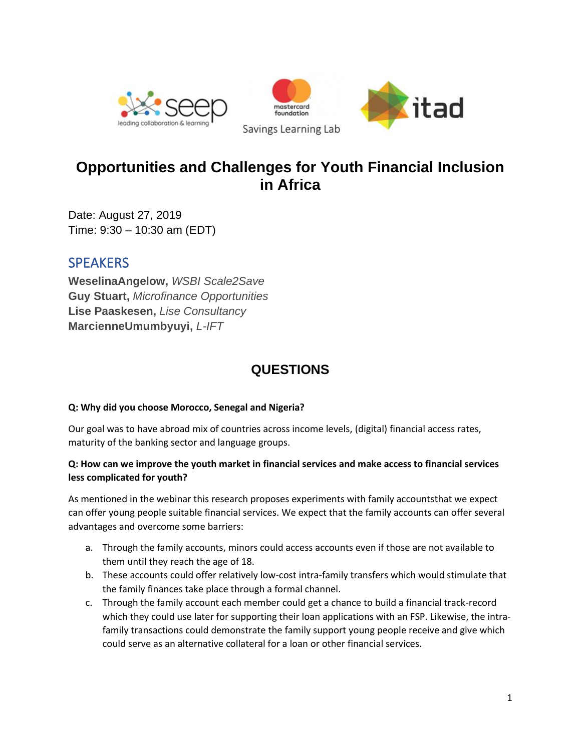



# **Opportunities and Challenges for Youth Financial Inclusion in Africa**

Date: August 27, 2019 Time: 9:30 – 10:30 am (EDT)

## **SPEAKERS**

**WeselinaAngelow,** *WSBI Scale2Save* **Guy Stuart,** *Microfinance Opportunities* **Lise Paaskesen,** *Lise Consultancy* **MarcienneUmumbyuyi,** *L-IFT*

# **QUESTIONS**

## **Q: Why did you choose Morocco, Senegal and Nigeria?**

Our goal was to have abroad mix of countries across income levels, (digital) financial access rates, maturity of the banking sector and language groups.

## **Q: How can we improve the youth market in financial services and make access to financial services less complicated for youth?**

As mentioned in the webinar this research proposes experiments with family accountsthat we expect can offer young people suitable financial services. We expect that the family accounts can offer several advantages and overcome some barriers:

- a. Through the family accounts, minors could access accounts even if those are not available to them until they reach the age of 18.
- b. These accounts could offer relatively low-cost intra-family transfers which would stimulate that the family finances take place through a formal channel.
- c. Through the family account each member could get a chance to build a financial track-record which they could use later for supporting their loan applications with an FSP. Likewise, the intrafamily transactions could demonstrate the family support young people receive and give which could serve as an alternative collateral for a loan or other financial services.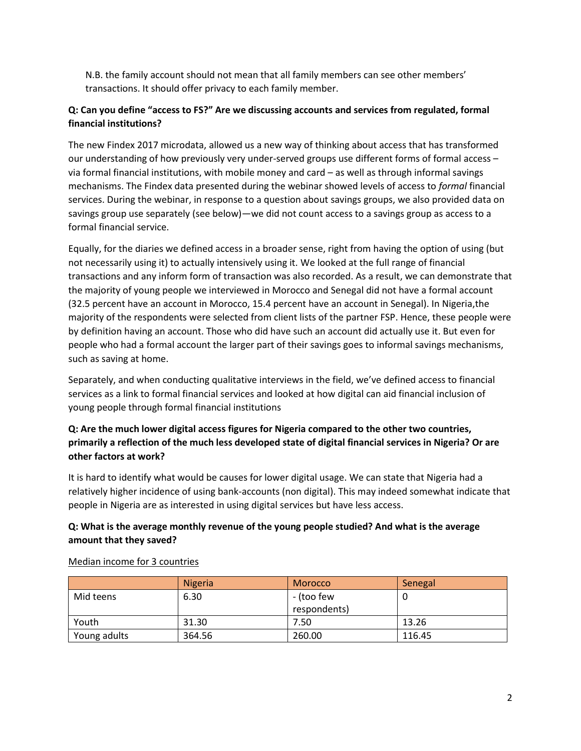N.B. the family account should not mean that all family members can see other members' transactions. It should offer privacy to each family member.

### **Q: Can you define "access to FS?" Are we discussing accounts and services from regulated, formal financial institutions?**

The new Findex 2017 microdata, allowed us a new way of thinking about access that has transformed our understanding of how previously very under-served groups use different forms of formal access – via formal financial institutions, with mobile money and card – as well as through informal savings mechanisms. The Findex data presented during the webinar showed levels of access to *formal* financial services. During the webinar, in response to a question about savings groups, we also provided data on savings group use separately (see below)—we did not count access to a savings group as access to a formal financial service.

Equally, for the diaries we defined access in a broader sense, right from having the option of using (but not necessarily using it) to actually intensively using it. We looked at the full range of financial transactions and any inform form of transaction was also recorded. As a result, we can demonstrate that the majority of young people we interviewed in Morocco and Senegal did not have a formal account (32.5 percent have an account in Morocco, 15.4 percent have an account in Senegal). In Nigeria,the majority of the respondents were selected from client lists of the partner FSP. Hence, these people were by definition having an account. Those who did have such an account did actually use it. But even for people who had a formal account the larger part of their savings goes to informal savings mechanisms, such as saving at home.

Separately, and when conducting qualitative interviews in the field, we've defined access to financial services as a link to formal financial services and looked at how digital can aid financial inclusion of young people through formal financial institutions

#### **Q: Are the much lower digital access figures for Nigeria compared to the other two countries, primarily a reflection of the much less developed state of digital financial services in Nigeria? Or are other factors at work?**

It is hard to identify what would be causes for lower digital usage. We can state that Nigeria had a relatively higher incidence of using bank-accounts (non digital). This may indeed somewhat indicate that people in Nigeria are as interested in using digital services but have less access.

## **Q: What is the average monthly revenue of the young people studied? And what is the average amount that they saved?**

|              | <b>Nigeria</b> | Morocco      | Senegal |
|--------------|----------------|--------------|---------|
| Mid teens    | 6.30           | - (too few   |         |
|              |                | respondents) |         |
| Youth        | 31.30          | 7.50         | 13.26   |
| Young adults | 364.56         | 260.00       | 116.45  |

Median income for 3 countries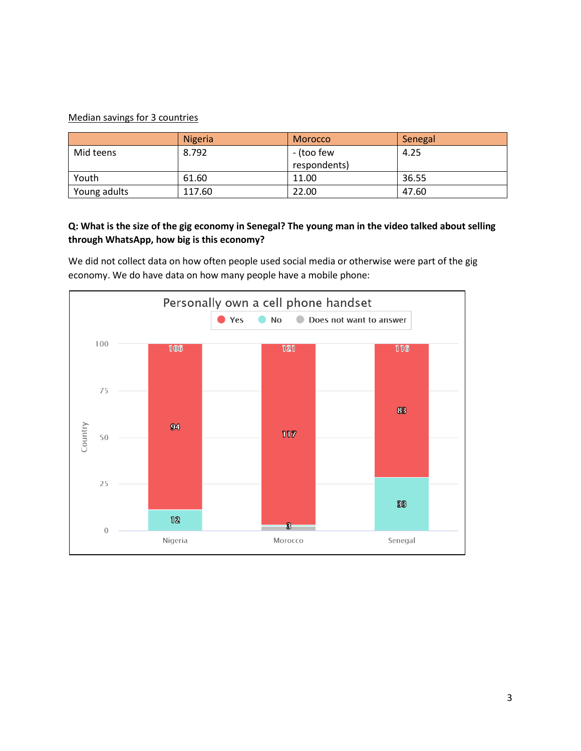#### Median savings for 3 countries

|              | <b>Nigeria</b> | <b>Morocco</b> | Senegal |
|--------------|----------------|----------------|---------|
| Mid teens    | 8.792          | - (too few     | 4.25    |
|              |                | respondents)   |         |
| Youth        | 61.60          | 11.00          | 36.55   |
| Young adults | 117.60         | 22.00          | 47.60   |

#### **Q: What is the size of the gig economy in Senegal? The young man in the video talked about selling through WhatsApp, how big is this economy?**

We did not collect data on how often people used social media or otherwise were part of the gig economy. We do have data on how many people have a mobile phone:

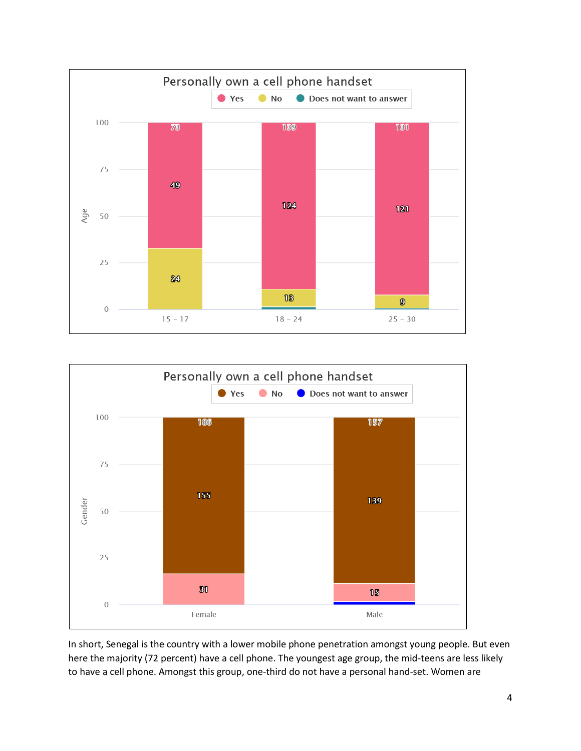



In short, Senegal is the country with a lower mobile phone penetration amongst young people. But even here the majority (72 percent) have a cell phone. The youngest age group, the mid-teens are less likely to have a cell phone. Amongst this group, one-third do not have a personal hand-set. Women are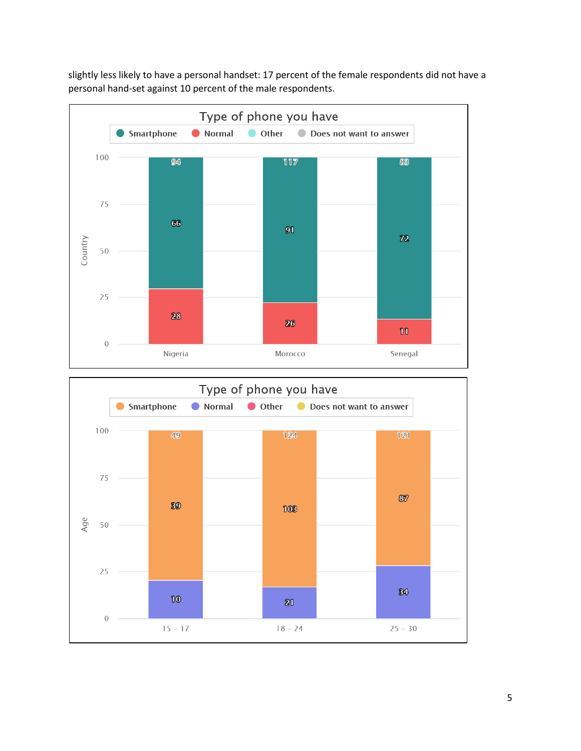slightly less likely to have a personal handset: 17 percent of the female respondents did not have a personal hand-set against 10 percent of the male respondents.



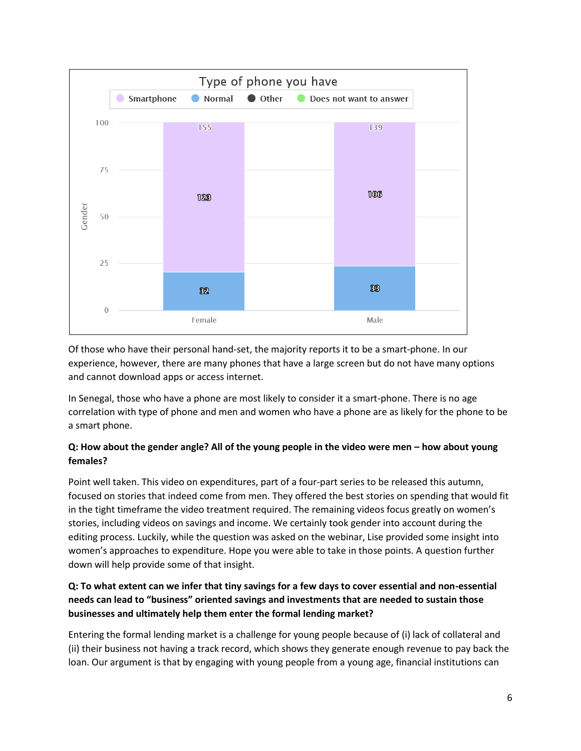

Of those who have their personal hand-set, the majority reports it to be a smart-phone. In our experience, however, there are many phones that have a large screen but do not have many options and cannot download apps or access internet.

In Senegal, those who have a phone are most likely to consider it a smart-phone. There is no age correlation with type of phone and men and women who have a phone are as likely for the phone to be a smart phone.

## **Q: How about the gender angle? All of the young people in the video were men – how about young females?**

Point well taken. This video on expenditures, part of a four-part series to be released this autumn, focused on stories that indeed come from men. They offered the best stories on spending that would fit in the tight timeframe the video treatment required. The remaining videos focus greatly on women's stories, including videos on savings and income. We certainly took gender into account during the editing process. Luckily, while the question was asked on the webinar, Lise provided some insight into women's approaches to expenditure. Hope you were able to take in those points. A question further down will help provide some of that insight.

## **Q: To what extent can we infer that tiny savings for a few days to cover essential and non-essential needs can lead to "business" oriented savings and investments that are needed to sustain those businesses and ultimately help them enter the formal lending market?**

Entering the formal lending market is a challenge for young people because of (i) lack of collateral and (ii) their business not having a track record, which shows they generate enough revenue to pay back the loan. Our argument is that by engaging with young people from a young age, financial institutions can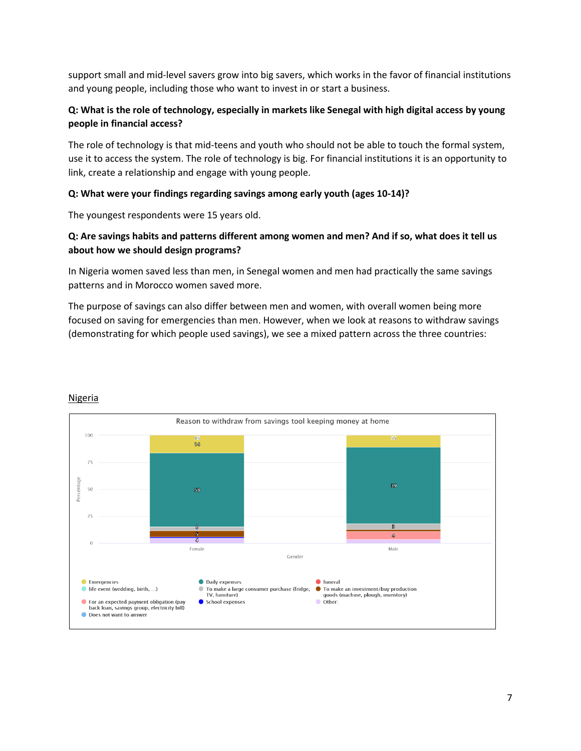support small and mid-level savers grow into big savers, which works in the favor of financial institutions and young people, including those who want to invest in or start a business.

#### **Q: What is the role of technology, especially in markets like Senegal with high digital access by young people in financial access?**

The role of technology is that mid-teens and youth who should not be able to touch the formal system, use it to access the system. The role of technology is big. For financial institutions it is an opportunity to link, create a relationship and engage with young people.

#### **Q: What were your findings regarding savings among early youth (ages 10-14)?**

The youngest respondents were 15 years old.

#### **Q: Are savings habits and patterns different among women and men? And if so, what does it tell us about how we should design programs?**

In Nigeria women saved less than men, in Senegal women and men had practically the same savings patterns and in Morocco women saved more.

The purpose of savings can also differ between men and women, with overall women being more focused on saving for emergencies than men. However, when we look at reasons to withdraw savings (demonstrating for which people used savings), we see a mixed pattern across the three countries:



#### Nigeria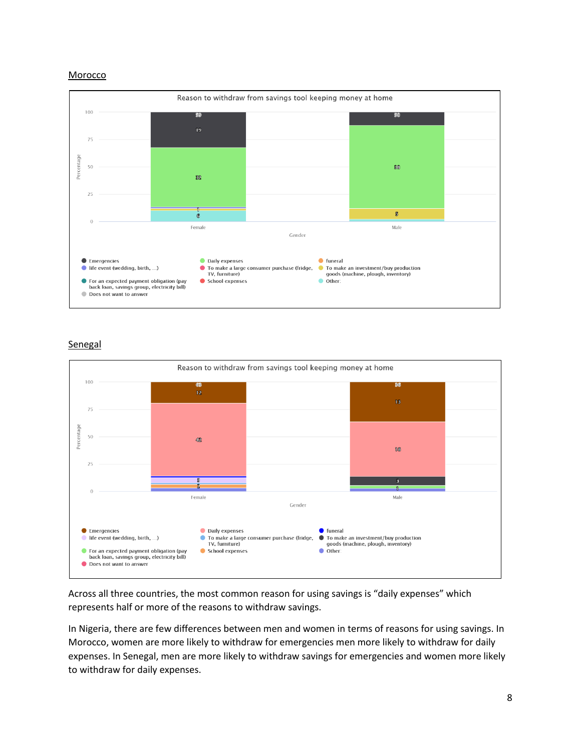#### Morocco



#### **Senegal**



Across all three countries, the most common reason for using savings is "daily expenses" which represents half or more of the reasons to withdraw savings.

In Nigeria, there are few differences between men and women in terms of reasons for using savings. In Morocco, women are more likely to withdraw for emergencies men more likely to withdraw for daily expenses. In Senegal, men are more likely to withdraw savings for emergencies and women more likely to withdraw for daily expenses.